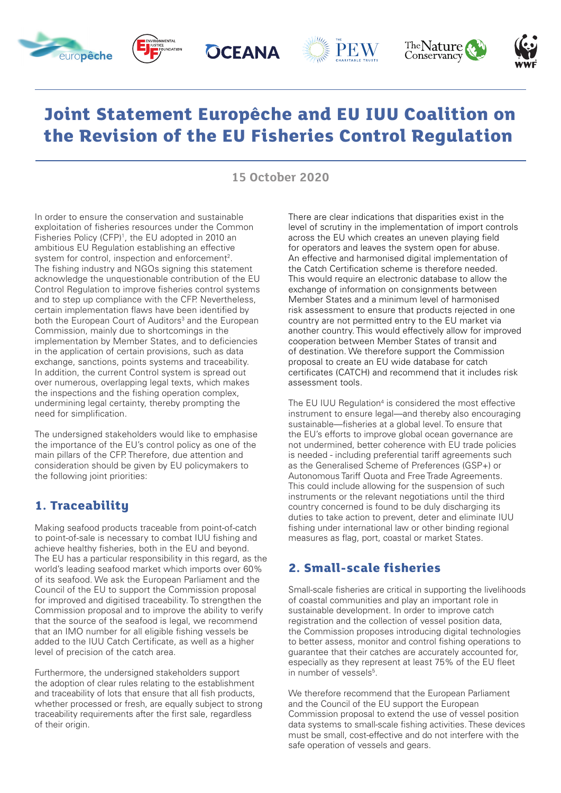<span id="page-0-0"></span>











## **Joint Statement Europêche and EU IUU Coalition on the Revision of the EU Fisheries Control Regulation**

**15 October 2020**

In order to ensure the conservation and sustainable exploitation of fisheries resources under the Common Fisheries Policy (CFP)<sup>1</sup>, the EU adopted in 2010 an ambitious EU Regulation establishing an effective system for control, inspection and enforcement<sup>2</sup>. The fishing industry and NGOs signing this statement acknowledge the unquestionable contribution of the EU Control Regulation to improve fisheries control systems and to step up compliance with the CFP. Nevertheless, certain implementation flaws have been identified by both the European Court of Auditors<sup>[3](#page-1-0)</sup> and the European Commission, mainly due to shortcomings in the implementation by Member States, and to deficiencies in the application of certain provisions, such as data exchange, sanctions, points systems and traceability. In addition, the current Control system is spread out over numerous, overlapping legal texts, which makes the inspections and the fishing operation complex, undermining legal certainty, thereby prompting the need for simplification.

The undersigned stakeholders would like to emphasise the importance of the EU's control policy as one of the main pillars of the CFP. Therefore, due attention and consideration should be given by EU policymakers to the following joint priorities:

## **1. Traceability**

Making seafood products traceable from point-of-catch to point-of-sale is necessary to combat IUU fishing and achieve healthy fisheries, both in the EU and beyond. The EU has a particular responsibility in this regard, as the world's leading seafood market which imports over 60% of its seafood. We ask the European Parliament and the Council of the EU to support the Commission proposal for improved and digitised traceability. To strengthen the Commission proposal and to improve the ability to verify that the source of the seafood is legal, we recommend that an IMO number for all eligible fishing vessels be added to the IUU Catch Certificate, as well as a higher level of precision of the catch area.

Furthermore, the undersigned stakeholders support the adoption of clear rules relating to the establishment and traceability of lots that ensure that all fish products, whether processed or fresh, are equally subject to strong traceability requirements after the first sale, regardless of their origin.

There are clear indications that disparities exist in the level of scrutiny in the implementation of import controls across the EU which creates an uneven playing field for operators and leaves the system open for abuse. An effective and harmonised digital implementation of the Catch Certification scheme is therefore needed. This would require an electronic database to allow the exchange of information on consignments between Member States and a minimum level of harmonised risk assessment to ensure that products rejected in one country are not permitted entry to the EU market via another country. This would effectively allow for improved cooperation between Member States of transit and of destination. We therefore support the Commission proposal to create an EU wide database for catch certificates (CATCH) and recommend that it includes risk assessment tools.

The EU IUU Regulation<sup>4</sup> is considered the most effective instrument to ensure legal—and thereby also encouraging sustainable—fisheries at a global level. To ensure that the EU's efforts to improve global ocean governance are not undermined, better coherence with EU trade policies is needed - including preferential tariff agreements such as the Generalised Scheme of Preferences (GSP+) or Autonomous Tariff Quota and Free Trade Agreements. This could include allowing for the suspension of such instruments or the relevant negotiations until the third country concerned is found to be duly discharging its duties to take action to prevent, deter and eliminate IUU fishing under international law or other binding regional measures as flag, port, coastal or market States.

## **2. Small-scale fisheries**

Small-scale fisheries are critical in supporting the livelihoods of coastal communities and play an important role in sustainable development. In order to improve catch registration and the collection of vessel position data, the Commission proposes introducing digital technologies to better assess, monitor and control fishing operations to guarantee that their catches are accurately accounted for, especially as they represent at least 75% of the EU fleet in number of vessels<sup>5</sup>.

We therefore recommend that the European Parliament and the Council of the EU support the European Commission proposal to extend the use of vessel position data systems to small-scale fishing activities. These devices must be small, cost-effective and do not interfere with the safe operation of vessels and gears.